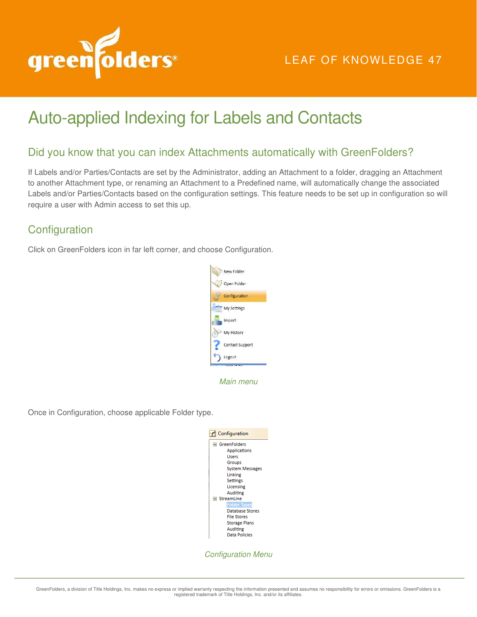

# LEAF OF KNOWLEDGE 47

# Auto-applied Indexing for Labels and Contacts

### Did you know that you can index Attachments automatically with GreenFolders?

If Labels and/or Parties/Contacts are set by the Administrator, adding an Attachment to a folder, dragging an Attachment to another Attachment type, or renaming an Attachment to a Predefined name, will automatically change the associated Labels and/or Parties/Contacts based on the configuration settings. This feature needs to be set up in configuration so will require a user with Admin access to set this up.

## **Configuration**

Click on GreenFolders icon in far left corner, and choose Configuration.



Main menu

Once in Configuration, choose applicable Folder type.



Configuration Menu

GreenFolders, a division of Title Holdings, Inc. makes no express or implied warranty respecting the information presented and assumes no responsibility for errors or omissions. GreenFolders is a<br>registered trademark of Ti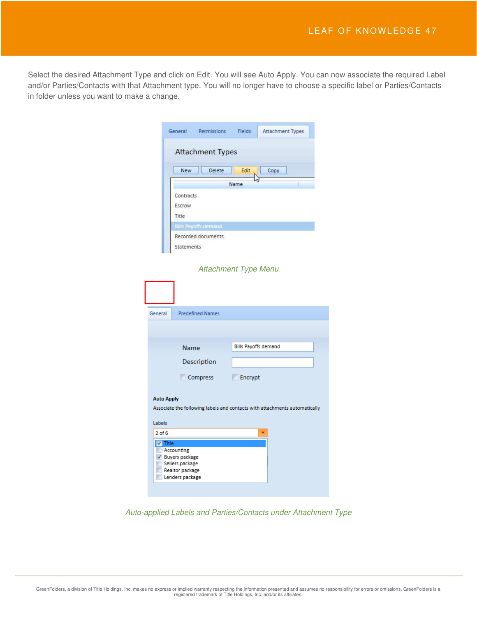Select the desired Attachment Type and click on Edit. You will see Auto Apply. You can now associate the required Label and/or Parties/Contacts with that Attachment type. You will no longer have to choose a specific label or Parties/Contacts in folder unless you want to make a change.

| General                      | Permissions                 | <b>Fields</b> | Attachment Types |  |
|------------------------------|-----------------------------|---------------|------------------|--|
|                              | <b>Attachment Types</b>     |               |                  |  |
| New                          | Delete                      | Edit          | Copy             |  |
|                              |                             | Name          |                  |  |
| Contracts<br>Escrow<br>Title |                             |               |                  |  |
|                              | <b>Bills Payoffs demand</b> |               |                  |  |
| <b>Statements</b>            | Recorded documents          |               |                  |  |

#### Attachment Type Menu

| General<br><b>Predefined Names</b> |                                                                            |
|------------------------------------|----------------------------------------------------------------------------|
|                                    |                                                                            |
|                                    |                                                                            |
| Name                               | <b>Bills Payoffs demand</b>                                                |
| Description                        |                                                                            |
| Compress                           | $\Box$ Encrypt                                                             |
| <b>Auto Apply</b><br>Labels        | Associate the following labels and contacts with attachments automatically |
|                                    |                                                                            |
| $2$ of $6$                         |                                                                            |

Auto-applied Labels and Parties/Contacts under Attachment Type